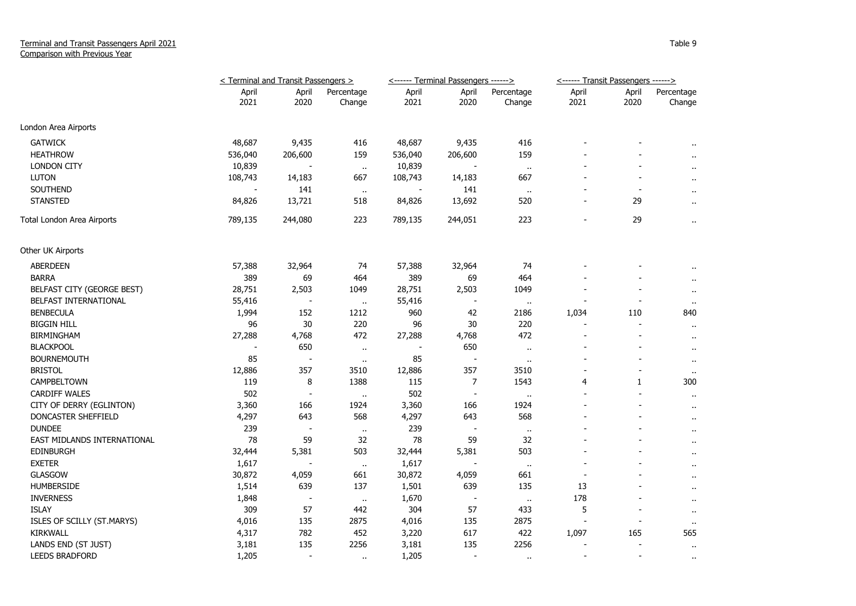## Terminal and Transit Passengers April 2021 Comparison with Previous Year

|                             | < Terminal and Transit Passengers > |                          |                      |               | <------ Terminal Passengers ------> |                      | <------ Transit Passengers ------> |                          |                      |
|-----------------------------|-------------------------------------|--------------------------|----------------------|---------------|-------------------------------------|----------------------|------------------------------------|--------------------------|----------------------|
|                             | April<br>2021                       | April<br>2020            | Percentage<br>Change | April<br>2021 | April<br>2020                       | Percentage<br>Change | April<br>2021                      | April<br>2020            | Percentage<br>Change |
| London Area Airports        |                                     |                          |                      |               |                                     |                      |                                    |                          |                      |
| <b>GATWICK</b>              | 48,687                              | 9,435                    | 416                  | 48,687        | 9,435                               | 416                  |                                    |                          |                      |
| <b>HEATHROW</b>             | 536,040                             | 206,600                  | 159                  | 536,040       | 206,600                             | 159                  |                                    |                          |                      |
| <b>LONDON CITY</b>          | 10,839                              |                          | $\alpha$             | 10,839        |                                     | $\sim$               |                                    |                          | $\mathbf{r}$         |
| <b>LUTON</b>                | 108,743                             | 14,183                   | 667                  | 108,743       | 14,183                              | 667                  |                                    |                          | $\cdots$             |
| SOUTHEND                    |                                     | 141                      | $\sim$               |               | 141                                 | $\sim$               |                                    | $\overline{a}$           | $\ddot{\phantom{1}}$ |
| <b>STANSTED</b>             | 84,826                              | 13,721                   | 518                  | 84,826        | 13,692                              | 520                  |                                    | 29                       | $\ddot{\phantom{1}}$ |
| Total London Area Airports  | 789,135                             | 244,080                  | 223                  | 789,135       | 244,051                             | 223                  |                                    | 29                       | $\sim$               |
| Other UK Airports           |                                     |                          |                      |               |                                     |                      |                                    |                          |                      |
| ABERDEEN                    | 57,388                              | 32,964                   | 74                   | 57,388        | 32,964                              | 74                   |                                    |                          |                      |
| <b>BARRA</b>                | 389                                 | 69                       | 464                  | 389           | 69                                  | 464                  |                                    |                          |                      |
| BELFAST CITY (GEORGE BEST)  | 28,751                              | 2,503                    | 1049                 | 28,751        | 2,503                               | 1049                 |                                    |                          | $\sim$               |
| BELFAST INTERNATIONAL       | 55,416                              | $\overline{\phantom{a}}$ | $\ddot{\phantom{1}}$ | 55,416        | $\overline{\phantom{a}}$            | $\ddot{\phantom{1}}$ |                                    | $\overline{\phantom{a}}$ | $\bullet$            |
| <b>BENBECULA</b>            | 1,994                               | 152                      | 1212                 | 960           | 42                                  | 2186                 | 1,034                              | 110                      | 840                  |
| <b>BIGGIN HILL</b>          | 96                                  | 30                       | 220                  | 96            | 30                                  | 220                  |                                    |                          | $\ddot{\phantom{1}}$ |
| <b>BIRMINGHAM</b>           | 27,288                              | 4,768                    | 472                  | 27,288        | 4,768                               | 472                  |                                    |                          | $\ddot{\phantom{1}}$ |
| <b>BLACKPOOL</b>            |                                     | 650                      | $\bullet$ .          |               | 650                                 | $\mathbf{r}$ .       |                                    |                          | $\sim$               |
| <b>BOURNEMOUTH</b>          | 85                                  |                          | $\ddot{\phantom{1}}$ | 85            | $\overline{\phantom{a}}$            | $\ddot{\phantom{1}}$ |                                    |                          | $\sim$               |
| <b>BRISTOL</b>              | 12,886                              | 357                      | 3510                 | 12,886        | 357                                 | 3510                 |                                    |                          | $\mathbf{u}$         |
| CAMPBELTOWN                 | 119                                 | 8                        | 1388                 | 115           | 7                                   | 1543                 | 4                                  | 1                        | 300                  |
| <b>CARDIFF WALES</b>        | 502                                 | $\overline{\phantom{a}}$ | $\bullet$ .          | 502           | $\overline{\phantom{a}}$            | $\sim$               |                                    |                          | $\ddot{\phantom{1}}$ |
| CITY OF DERRY (EGLINTON)    | 3,360                               | 166                      | 1924                 | 3,360         | 166                                 | 1924                 |                                    |                          | $\sim$               |
| DONCASTER SHEFFIELD         | 4,297                               | 643                      | 568                  | 4,297         | 643                                 | 568                  |                                    |                          | $\ddot{\phantom{1}}$ |
| <b>DUNDEE</b>               | 239                                 | $\overline{\phantom{a}}$ | $\bullet$            | 239           | $\overline{\phantom{a}}$            | $\cdot$              |                                    |                          | $\mathbf{r}$         |
| EAST MIDLANDS INTERNATIONAL | 78                                  | 59                       | 32                   | 78            | 59                                  | 32                   |                                    |                          | $\cdots$             |
| <b>EDINBURGH</b>            | 32,444                              | 5,381                    | 503                  | 32,444        | 5,381                               | 503                  |                                    |                          | $\ddot{\phantom{1}}$ |
| <b>EXETER</b>               | 1,617                               | $\overline{\phantom{a}}$ | $\alpha$             | 1,617         | $\overline{\phantom{a}}$            | $\sim$               |                                    |                          | $\ddot{\phantom{1}}$ |
| <b>GLASGOW</b>              | 30,872                              | 4,059                    | 661                  | 30,872        | 4,059                               | 661                  | $\overline{\phantom{a}}$           |                          | $\sim$               |
| <b>HUMBERSIDE</b>           | 1,514                               | 639                      | 137                  | 1,501         | 639                                 | 135                  | 13                                 |                          | $\cdots$             |
| <b>INVERNESS</b>            | 1,848                               |                          | $\ddot{\phantom{1}}$ | 1,670         |                                     | $\ddot{\phantom{1}}$ | 178                                |                          | $\cdots$             |
| <b>ISLAY</b>                | 309                                 | 57                       | 442                  | 304           | 57                                  | 433                  | 5                                  |                          | $\cdots$             |
| ISLES OF SCILLY (ST.MARYS)  | 4,016                               | 135                      | 2875                 | 4,016         | 135                                 | 2875                 |                                    |                          | $\sim$               |
| KIRKWALL                    | 4,317                               | 782                      | 452                  | 3,220         | 617                                 | 422                  | 1,097                              | 165                      | 565                  |
| LANDS END (ST JUST)         | 3,181                               | 135                      | 2256                 | 3,181         | 135                                 | 2256                 |                                    |                          | $\mathbf{u}$         |
| LEEDS BRADFORD              | 1,205                               | $\overline{\phantom{a}}$ | $\ddot{\phantom{a}}$ | 1,205         | $\overline{\phantom{a}}$            | $\ddot{\phantom{a}}$ |                                    |                          |                      |